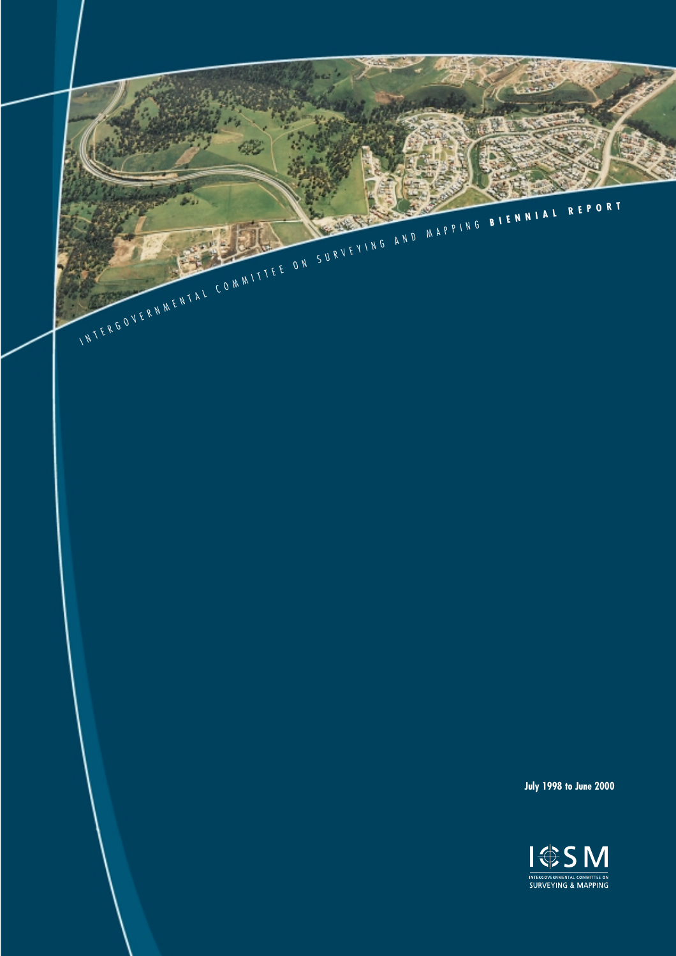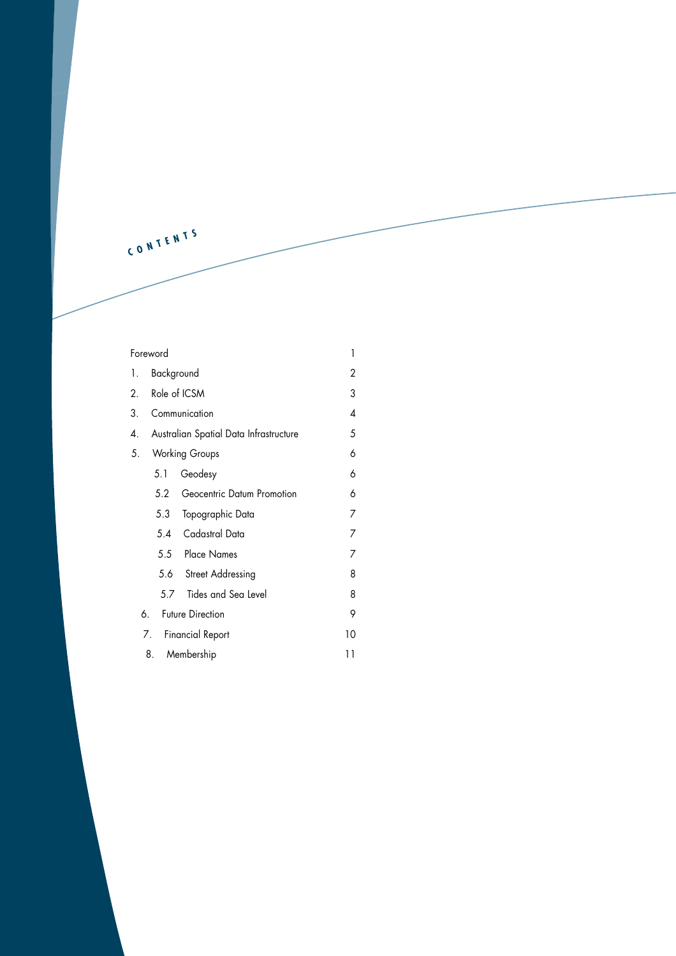**C <sup>O</sup> <sup>N</sup> <sup>T</sup> <sup>E</sup> <sup>N</sup> <sup>T</sup> <sup>S</sup>**

| Foreword                      |                                        |                            | 1  |
|-------------------------------|----------------------------------------|----------------------------|----|
| 1.                            | Background                             |                            | 2  |
| 2.                            | Role of ICSM                           |                            | 3  |
| 3.                            | Communication                          |                            | 4  |
| 4.                            | Australian Spatial Data Infrastructure |                            | 5  |
| 5.                            | <b>Working Groups</b>                  |                            | 6  |
|                               | 5.1                                    | Geodesy                    | 6  |
|                               | 5.2                                    | Geocentric Datum Promotion | 6  |
|                               | 5.3                                    | Topographic Data           | 7  |
|                               | 5.4                                    | Cadastral Data             | 7  |
|                               |                                        | 5.5 Place Names            | 7  |
|                               | 5.6                                    | <b>Street Addressing</b>   | 8  |
|                               | 5.7                                    | Tides and Sea Level        | 8  |
|                               | 6.                                     | <b>Future Direction</b>    | 9  |
| <b>Financial Report</b><br>7. |                                        | 10                         |    |
|                               | 8.                                     | Membership                 | 11 |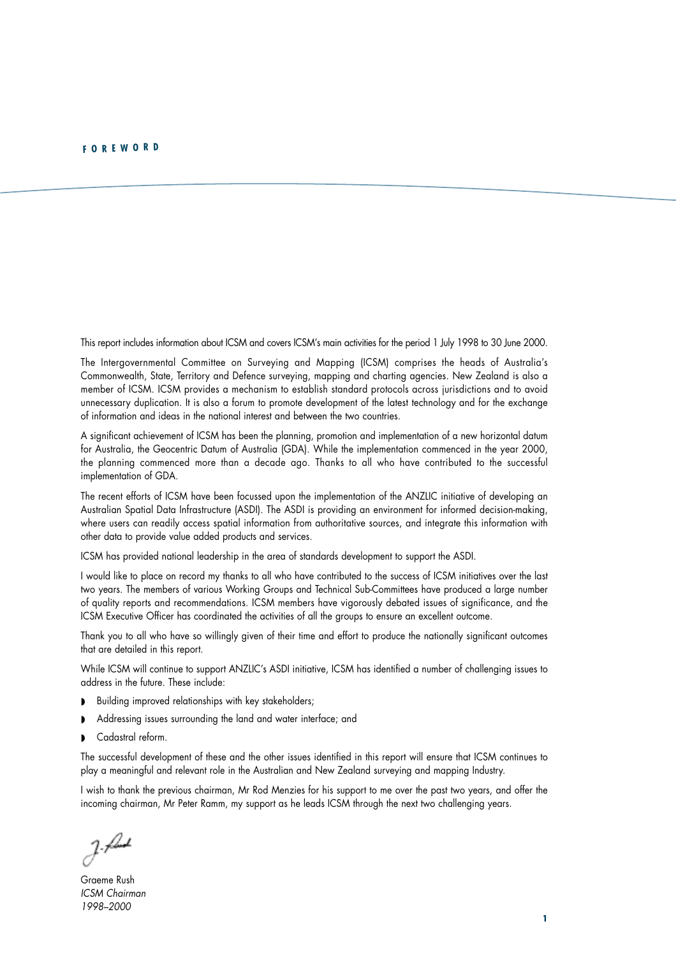<span id="page-2-0"></span>This report includes information about ICSM and covers ICSM's main activities for the period 1 July 1998 to 30 June 2000.

The Intergovernmental Committee on Surveying and Mapping (ICSM) comprises the heads of Australia's Commonwealth, State, Territory and Defence surveying, mapping and charting agencies. New Zealand is also a member of ICSM. ICSM provides a mechanism to establish standard protocols across jurisdictions and to avoid unnecessary duplication. It is also a forum to promote development of the latest technology and for the exchange of information and ideas in the national interest and between the two countries.

A significant achievement of ICSM has been the planning, promotion and implementation of a new horizontal datum for Australia, the Geocentric Datum of Australia (GDA). While the implementation commenced in the year 2000, the planning commenced more than a decade ago. Thanks to all who have contributed to the successful implementation of GDA.

The recent efforts of ICSM have been focussed upon the implementation of the ANZLIC initiative of developing an Australian Spatial Data Infrastructure (ASDI). The ASDI is providing an environment for informed decision-making, where users can readily access spatial information from authoritative sources, and integrate this information with other data to provide value added products and services.

ICSM has provided national leadership in the area of standards development to support the ASDI.

I would like to place on record my thanks to all who have contributed to the success of ICSM initiatives over the last two years. The members of various Working Groups and Technical Sub-Committees have produced a large number of quality reports and recommendations. ICSM members have vigorously debated issues of significance, and the ICSM Executive Officer has coordinated the activities of all the groups to ensure an excellent outcome.

Thank you to all who have so willingly given of their time and effort to produce the nationally significant outcomes that are detailed in this report.

While ICSM will continue to support ANZLIC's ASDI initiative, ICSM has identified a number of challenging issues to address in the future. These include:

- Building improved relationships with key stakeholders;
- ◗ Addressing issues surrounding the land and water interface; and
- Cadastral reform.

The successful development of these and the other issues identified in this report will ensure that ICSM continues to play a meaningful and relevant role in the Australian and New Zealand surveying and mapping Industry.

I wish to thank the previous chairman, Mr Rod Menzies for his support to me over the past two years, and offer the incoming chairman, Mr Peter Ramm, my support as he leads ICSM through the next two challenging years.

Graeme Rush *ICSM Chairman 1998–2000*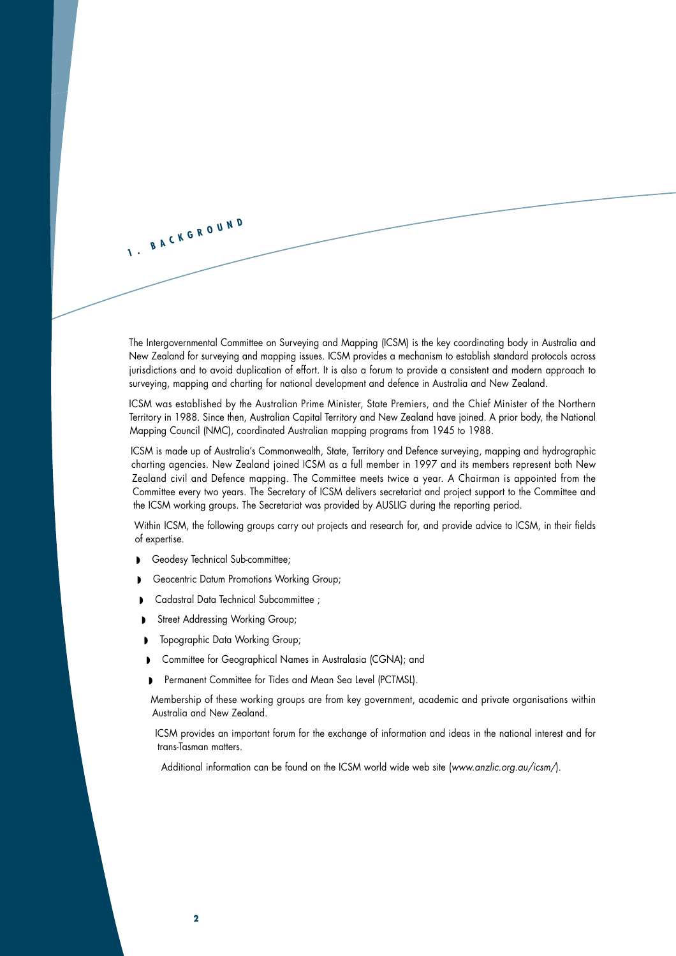The Intergovernmental Committee on Surveying and Mapping (ICSM) is the key coordinating body in Australia and New Zealand for surveying and mapping issues. ICSM provides a mechanism to establish standard protocols across jurisdictions and to avoid duplication of effort. It is also a forum to provide a consistent and modern approach to surveying, mapping and charting for national development and defence in Australia and New Zealand.

ICSM was established by the Australian Prime Minister, State Premiers, and the Chief Minister of the Northern Territory in 1988. Since then, Australian Capital Territory and New Zealand have joined. A prior body, the National Mapping Council (NMC), coordinated Australian mapping programs from 1945 to 1988.

ICSM is made up of Australia's Commonwealth, State, Territory and Defence surveying, mapping and hydrographic charting agencies. New Zealand joined ICSM as a full member in 1997 and its members represent both New Zealand civil and Defence mapping. The Committee meets twice a year. A Chairman is appointed from the Committee every two years. The Secretary of ICSM delivers secretariat and project support to the Committee and the ICSM working groups. The Secretariat was provided by AUSLIG during the reporting period.

Within ICSM, the following groups carry out projects and research for, and provide advice to ICSM, in their fields of expertise.

■ Geodesy Technical Sub-committee;

<span id="page-3-0"></span>**1 . <sup>B</sup> <sup>A</sup> <sup>C</sup> <sup>K</sup> <sup>G</sup> <sup>R</sup> <sup>O</sup> <sup>U</sup> <sup>N</sup> <sup>D</sup>**

- Geocentric Datum Promotions Working Group;
- Cadastral Data Technical Subcommittee ;
- Street Addressing Working Group;
- ◗ Topographic Data Working Group;
- ◗ Committee for Geographical Names in Australasia (CGNA); and
- ◗ Permanent Committee for Tides and Mean Sea Level (PCTMSL).

Membership of these working groups are from key government, academic and private organisations within Australia and New Zealand.

ICSM provides an important forum for the exchange of information and ideas in the national interest and for trans-Tasman matters.

Additional information can be found on the ICSM world wide web site (*www.anzlic.org.au/icsm/*).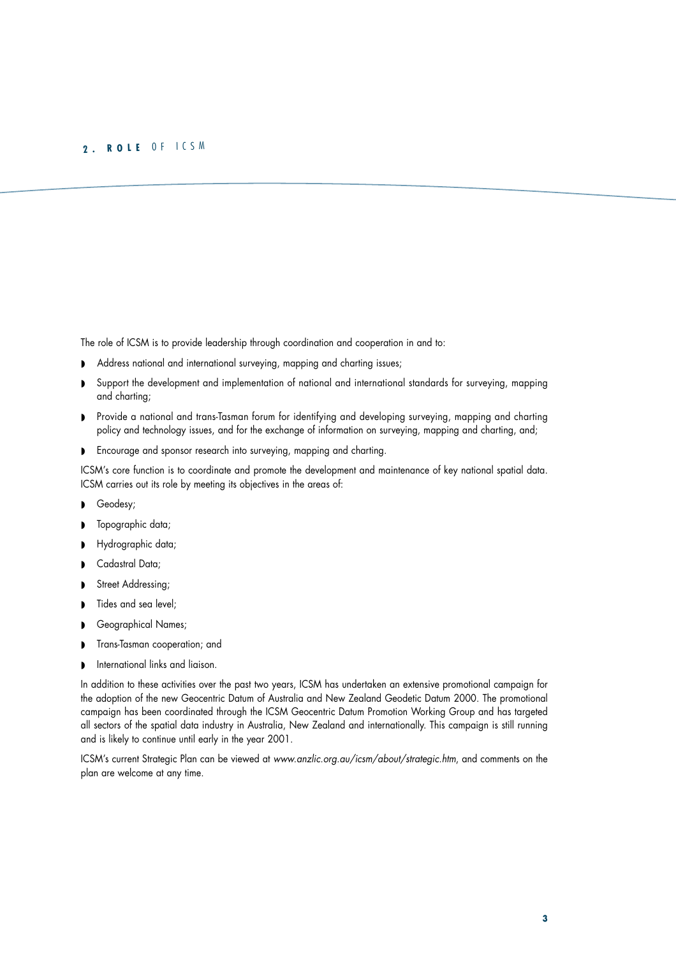#### <span id="page-4-0"></span>**2 . <sup>R</sup> <sup>O</sup> <sup>L</sup> <sup>E</sup>** O <sup>F</sup> <sup>I</sup> C S <sup>M</sup>

The role of ICSM is to provide leadership through coordination and cooperation in and to:

- ◗ Address national and international surveying, mapping and charting issues;
- ◗ Support the development and implementation of national and international standards for surveying, mapping and charting;
- ◗ Provide a national and trans-Tasman forum for identifying and developing surveying, mapping and charting policy and technology issues, and for the exchange of information on surveying, mapping and charting, and;
- ◗ Encourage and sponsor research into surveying, mapping and charting.

ICSM's core function is to coordinate and promote the development and maintenance of key national spatial data. ICSM carries out its role by meeting its objectives in the areas of:

- ◗ Geodesy;
- Topographic data;
- ◗ Hydrographic data;
- Cadastral Data;
- **D** Street Addressing;
- Tides and sea level;
- Geographical Names;
- ◗ Trans-Tasman cooperation; and
- $\blacksquare$  International links and liaison.

In addition to these activities over the past two years, ICSM has undertaken an extensive promotional campaign for the adoption of the new Geocentric Datum of Australia and New Zealand Geodetic Datum 2000. The promotional campaign has been coordinated through the ICSM Geocentric Datum Promotion Working Group and has targeted all sectors of the spatial data industry in Australia, New Zealand and internationally. This campaign is still running and is likely to continue until early in the year 2001.

ICSM's current Strategic Plan can be viewed at *www.anzlic.org.au/icsm/about/strategic.htm*, and comments on the plan are welcome at any time.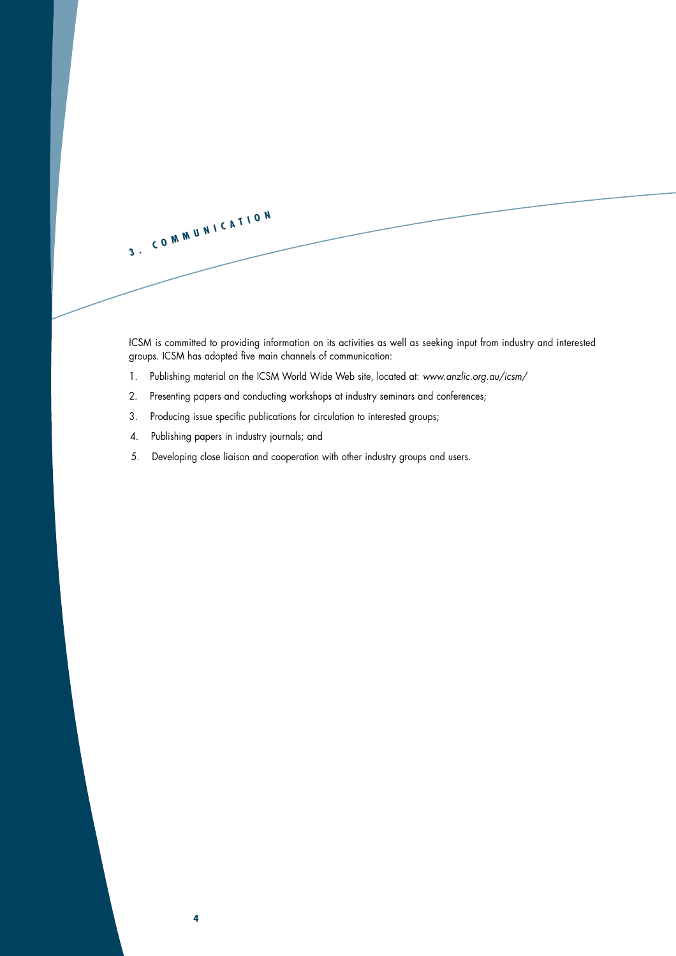<span id="page-5-0"></span>

ICSM is committed to providing information on its activities as well as seeking input from industry and interested groups. ICSM has adopted five main channels of communication:

- 1. Publishing material on the ICSM World Wide Web site, located at: *www.anzlic.org.au/icsm/*
- 2. Presenting papers and conducting workshops at industry seminars and conferences;
- 3. Producing issue specific publications for circulation to interested groups;
- 4. Publishing papers in industry journals; and

**4**

5. Developing close liaison and cooperation with other industry groups and users.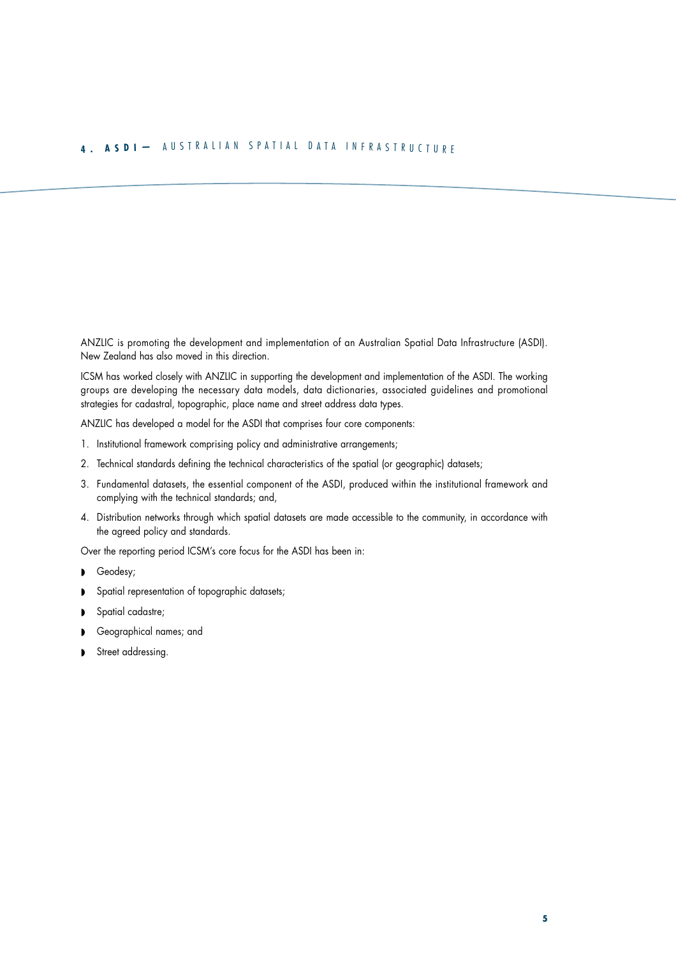## <span id="page-6-0"></span>**4 . <sup>A</sup> <sup>S</sup> <sup>D</sup> <sup>I</sup> —** <sup>A</sup> <sup>U</sup> <sup>S</sup> <sup>T</sup> <sup>R</sup> <sup>A</sup> <sup>L</sup> <sup>I</sup> <sup>A</sup> <sup>N</sup> <sup>S</sup> <sup>P</sup> <sup>A</sup> <sup>T</sup> <sup>I</sup> <sup>A</sup> <sup>L</sup> <sup>D</sup> <sup>A</sup> <sup>T</sup> <sup>A</sup> <sup>I</sup> <sup>N</sup> <sup>F</sup> <sup>R</sup> <sup>A</sup> <sup>S</sup> <sup>T</sup> <sup>R</sup> <sup>U</sup> <sup>C</sup> <sup>T</sup> <sup>U</sup> <sup>R</sup> <sup>E</sup>

ANZLIC is promoting the development and implementation of an Australian Spatial Data Infrastructure (ASDI). New Zealand has also moved in this direction.

ICSM has worked closely with ANZLIC in supporting the development and implementation of the ASDI. The working groups are developing the necessary data models, data dictionaries, associated guidelines and promotional strategies for cadastral, topographic, place name and street address data types.

ANZLIC has developed a model for the ASDI that comprises four core components:

- 1. Institutional framework comprising policy and administrative arrangements;
- 2. Technical standards defining the technical characteristics of the spatial (or geographic) datasets;
- 3. Fundamental datasets, the essential component of the ASDI, produced within the institutional framework and complying with the technical standards; and,
- 4. Distribution networks through which spatial datasets are made accessible to the community, in accordance with the agreed policy and standards.

Over the reporting period ICSM's core focus for the ASDI has been in:

- ◗ Geodesy;
- ◗ Spatial representation of topographic datasets;
- ◗ Spatial cadastre;
- Geographical names; and
- ◗ Street addressing.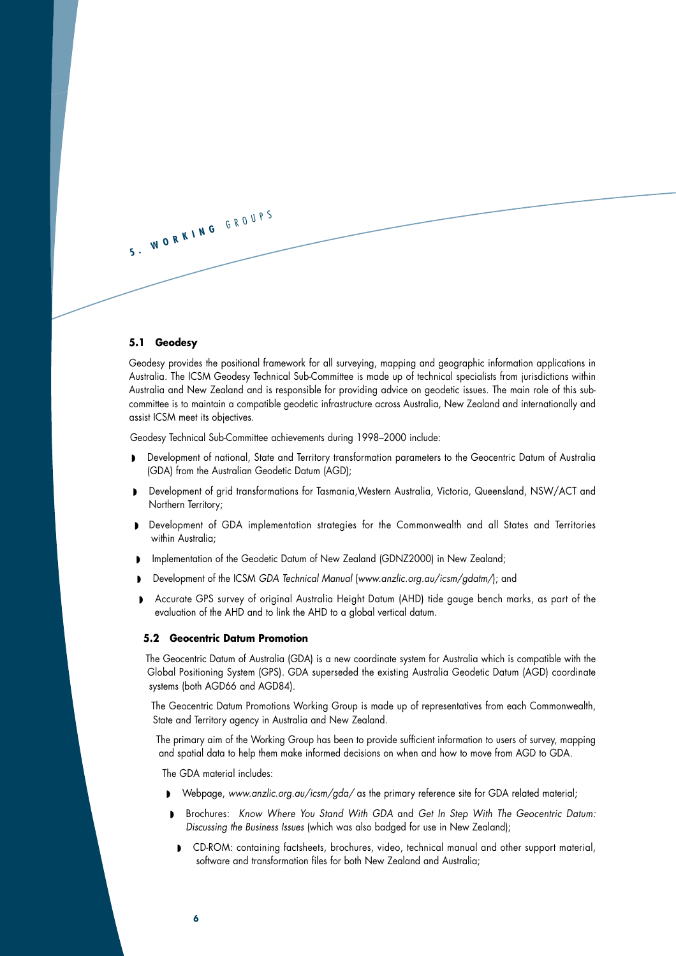<span id="page-7-0"></span>

#### **5.1 Geodesy**

Geodesy provides the positional framework for all surveying, mapping and geographic information applications in Australia. The ICSM Geodesy Technical Sub-Committee is made up of technical specialists from jurisdictions within Australia and New Zealand and is responsible for providing advice on geodetic issues. The main role of this subcommittee is to maintain a compatible geodetic infrastructure across Australia, New Zealand and internationally and assist ICSM meet its objectives.

Geodesy Technical Sub-Committee achievements during 1998–2000 include:

- ◗ Development of national, State and Territory transformation parameters to the Geocentric Datum of Australia (GDA) from the Australian Geodetic Datum (AGD);
- ◗ Development of grid transformations for Tasmania,Western Australia, Victoria, Queensland, NSW/ACT and Northern Territory;
- ◗ Development of GDA implementation strategies for the Commonwealth and all States and Territories within Australia:
- ◗ Implementation of the Geodetic Datum of New Zealand (GDNZ2000) in New Zealand;
- ◗ Development of the ICSM *GDA Technical Manual* (*www.anzlic.org.au/icsm/gdatm/*); and
- ◗ Accurate GPS survey of original Australia Height Datum (AHD) tide gauge bench marks, as part of the evaluation of the AHD and to link the AHD to a global vertical datum.

### **5.2 Geocentric Datum Promotion**

The Geocentric Datum of Australia (GDA) is a new coordinate system for Australia which is compatible with the Global Positioning System (GPS). GDA superseded the existing Australia Geodetic Datum (AGD) coordinate systems (both AGD66 and AGD84).

The Geocentric Datum Promotions Working Group is made up of representatives from each Commonwealth, State and Territory agency in Australia and New Zealand.

The primary aim of the Working Group has been to provide sufficient information to users of survey, mapping and spatial data to help them make informed decisions on when and how to move from AGD to GDA.

The GDA material includes:

- ◗ Webpage, *www.anzlic.org.au/icsm/gda/* as the primary reference site for GDA related material;
- ◗ Brochures: *Know Where You Stand With GDA* and *Get In Step With The Geocentric Datum: Discussing the Business Issues* (which was also badged for use in New Zealand);
- ◗ CD-ROM: containing factsheets, brochures, video, technical manual and other support material, software and transformation files for both New Zealand and Australia;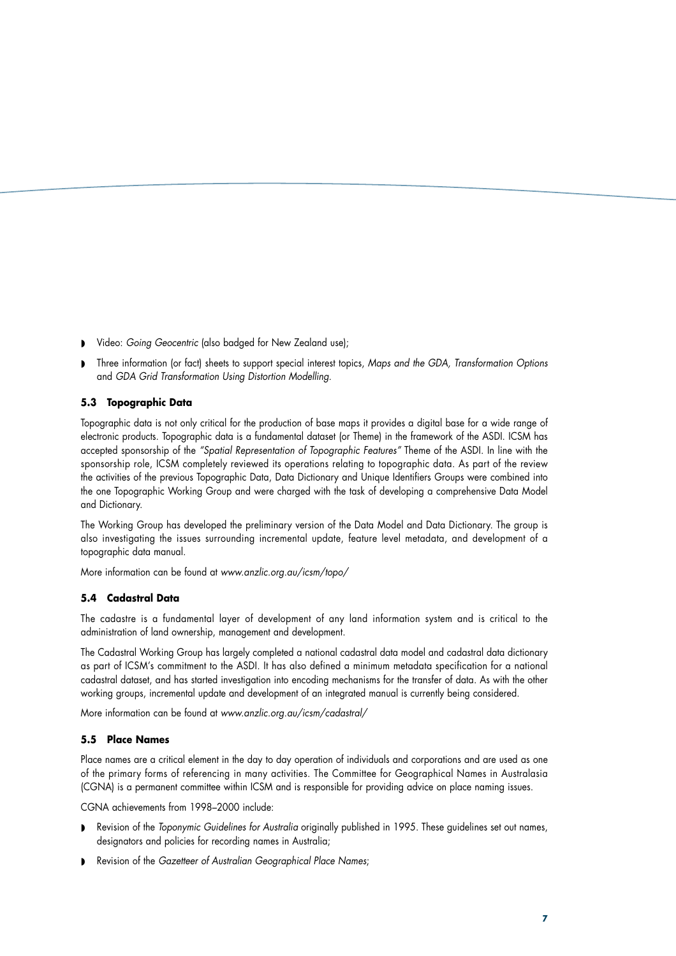- <span id="page-8-0"></span>◗ Video: *Going Geocentric* (also badged for New Zealand use);
- ◗ Three information (or fact) sheets to support special interest topics, *Maps and the GDA, Transformation Options* and *GDA Grid Transformation Using Distortion Modelling*.

## **5.3 Topographic Data**

Topographic data is not only critical for the production of base maps it provides a digital base for a wide range of electronic products. Topographic data is a fundamental dataset (or Theme) in the framework of the ASDI. ICSM has accepted sponsorship of the *"Spatial Representation of Topographic Features"* Theme of the ASDI. In line with the sponsorship role, ICSM completely reviewed its operations relating to topographic data. As part of the review the activities of the previous Topographic Data, Data Dictionary and Unique Identifiers Groups were combined into the one Topographic Working Group and were charged with the task of developing a comprehensive Data Model and Dictionary.

The Working Group has developed the preliminary version of the Data Model and Data Dictionary. The group is also investigating the issues surrounding incremental update, feature level metadata, and development of a topographic data manual.

More information can be found at *www.anzlic.org.au/icsm/topo/*

#### **5.4 Cadastral Data**

The cadastre is a fundamental layer of development of any land information system and is critical to the administration of land ownership, management and development.

The Cadastral Working Group has largely completed a national cadastral data model and cadastral data dictionary as part of ICSM's commitment to the ASDI. It has also defined a minimum metadata specification for a national cadastral dataset, and has started investigation into encoding mechanisms for the transfer of data. As with the other working groups, incremental update and development of an integrated manual is currently being considered.

More information can be found at *www.anzlic.org.au/icsm/cadastral/*

### **5.5 Place Names**

Place names are a critical element in the day to day operation of individuals and corporations and are used as one of the primary forms of referencing in many activities. The Committee for Geographical Names in Australasia (CGNA) is a permanent committee within ICSM and is responsible for providing advice on place naming issues.

CGNA achievements from 1998–2000 include:

- ◗ Revision of the *Toponymic Guidelines for Australia* originally published in 1995. These guidelines set out names, designators and policies for recording names in Australia;
- ◗ Revision of the *Gazetteer of Australian Geographical Place Names*;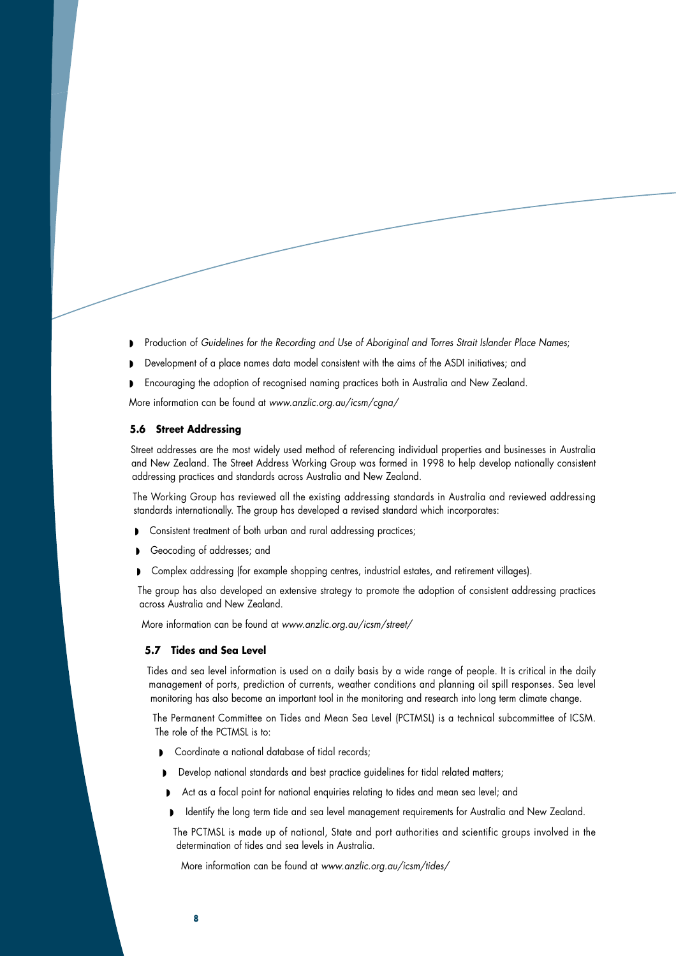- <span id="page-9-0"></span>◗ Production of *Guidelines for the Recording and Use of Aboriginal and Torres Strait Islander Place Names*;
- Development of a place names data model consistent with the aims of the ASDI initiatives; and
- ◗ Encouraging the adoption of recognised naming practices both in Australia and New Zealand.

More information can be found at *www.anzlic.org.au/icsm/cgna/*

## **5.6 Street Addressing**

Street addresses are the most widely used method of referencing individual properties and businesses in Australia and New Zealand. The Street Address Working Group was formed in 1998 to help develop nationally consistent addressing practices and standards across Australia and New Zealand.

The Working Group has reviewed all the existing addressing standards in Australia and reviewed addressing standards internationally. The group has developed a revised standard which incorporates:

- ◗ Consistent treatment of both urban and rural addressing practices;
- Geocoding of addresses; and
- ◗ Complex addressing (for example shopping centres, industrial estates, and retirement villages).

The group has also developed an extensive strategy to promote the adoption of consistent addressing practices across Australia and New Zealand.

More information can be found at *www.anzlic.org.au/icsm/street/*

## **5.7 Tides and Sea Level**

Tides and sea level information is used on a daily basis by a wide range of people. It is critical in the daily management of ports, prediction of currents, weather conditions and planning oil spill responses. Sea level monitoring has also become an important tool in the monitoring and research into long term climate change.

The Permanent Committee on Tides and Mean Sea Level (PCTMSL) is a technical subcommittee of ICSM. The role of the PCTMSL is to:

- ◗ Coordinate a national database of tidal records;
- Develop national standards and best practice guidelines for tidal related matters;
- Act as a focal point for national enquiries relating to tides and mean sea level; and
- ◗ Identify the long term tide and sea level management requirements for Australia and New Zealand.

The PCTMSL is made up of national, State and port authorities and scientific groups involved in the determination of tides and sea levels in Australia.

More information can be found at *www.anzlic.org.au/icsm/tides/*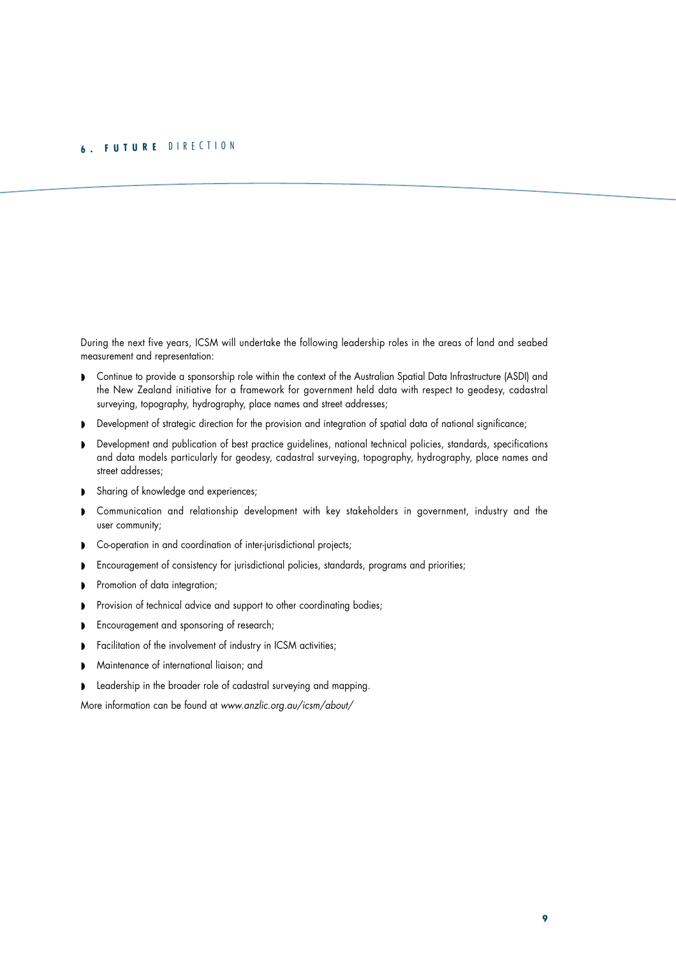# <span id="page-10-0"></span>**<sup>6</sup> . <sup>F</sup> <sup>U</sup> <sup>T</sup> <sup>U</sup> <sup>R</sup> <sup>E</sup>** <sup>D</sup> <sup>I</sup> <sup>R</sup> <sup>E</sup> <sup>C</sup> <sup>T</sup> <sup>I</sup> <sup>O</sup> <sup>N</sup>

During the next five years, ICSM will undertake the following leadership roles in the areas of land and seabed measurement and representation:

- ◗ Continue to provide a sponsorship role within the context of the Australian Spatial Data Infrastructure (ASDI) and the New Zealand initiative for a framework for government held data with respect to geodesy, cadastral surveying, topography, hydrography, place names and street addresses;
- ◗ Development of strategic direction for the provision and integration of spatial data of national significance;
- Development and publication of best practice guidelines, national technical policies, standards, specifications and data models particularly for geodesy, cadastral surveying, topography, hydrography, place names and street addresses;
- ◗ Sharing of knowledge and experiences;
- ◗ Communication and relationship development with key stakeholders in government, industry and the user community;
- ◗ Co-operation in and coordination of inter-jurisdictional projects;
- ◗ Encouragement of consistency for jurisdictional policies, standards, programs and priorities;
- ◗ Promotion of data integration;
- ◗ Provision of technical advice and support to other coordinating bodies;
- ◗ Encouragement and sponsoring of research;
- ◗ Facilitation of the involvement of industry in ICSM activities;
- ◗ Maintenance of international liaison; and
- **•** Leadership in the broader role of cadastral surveying and mapping.

More information can be found at *www.anzlic.org.au/icsm/about/*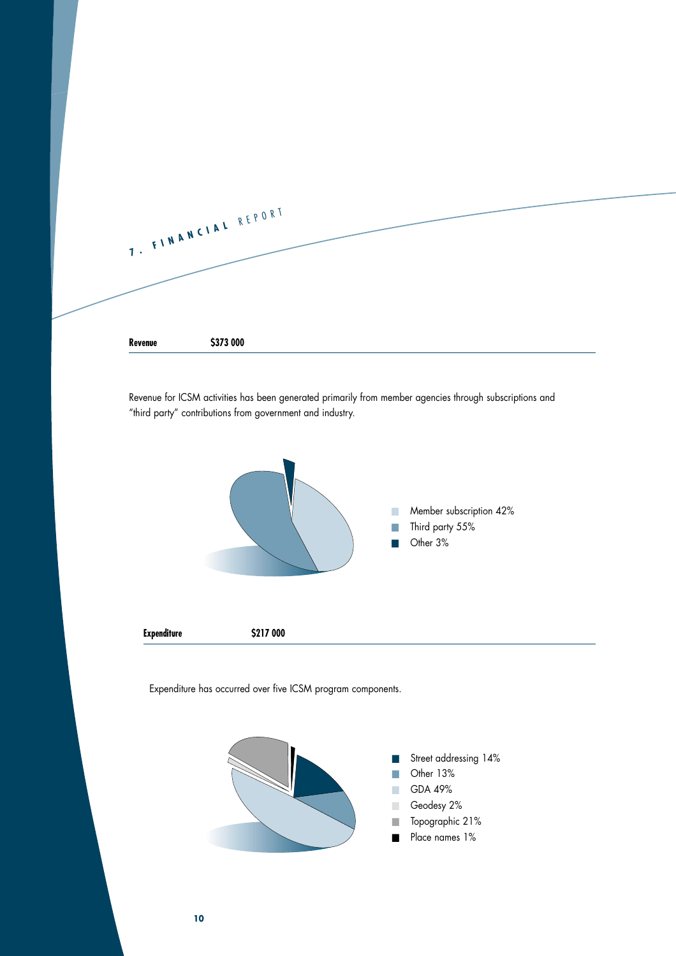<span id="page-11-0"></span>

Revenue for ICSM activities has been generated primarily from member agencies through subscriptions and "third party" contributions from government and industry.



Expenditure has occurred over five ICSM program components.

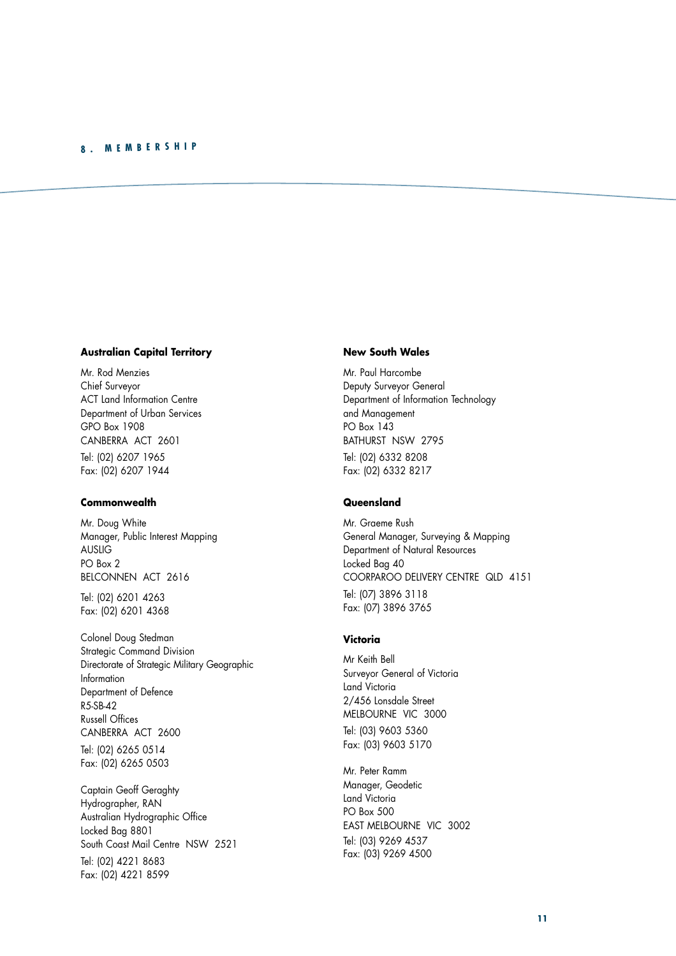## <span id="page-12-0"></span>**<sup>8</sup> . <sup>M</sup> <sup>E</sup> <sup>M</sup> <sup>B</sup> <sup>E</sup> <sup>R</sup> <sup>S</sup> <sup>H</sup> <sup>I</sup> <sup>P</sup>**

## **Australian Capital Territory**

Mr. Rod Menzies Chief Surveyor ACT Land Information Centre Department of Urban Services GPO Box 1908 CANBERRA ACT 2601 Tel: (02) 6207 1965 Fax: (02) 6207 1944

## **Commonwealth**

Mr. Doug White Manager, Public Interest Mapping AUSLIG PO Box 2 BELCONNEN ACT 2616

Tel: (02) 6201 4263 Fax: (02) 6201 4368

Colonel Doug Stedman Strategic Command Division Directorate of Strategic Military Geographic Information Department of Defence  $R5-SR-42$ Russell Offices CANBERRA ACT 2600 Tel: (02) 6265 0514

Fax: (02) 6265 0503

Captain Geoff Geraghty Hydrographer, RAN Australian Hydrographic Office Locked Bag 8801 South Coast Mail Centre NSW 2521 Tel: (02) 4221 8683 Fax: (02) 4221 8599

#### **New South Wales**

Mr. Paul Harcombe Deputy Surveyor General Department of Information Technology and Management PO Box 143 BATHURST NSW 2795 Tel: (02) 6332 8208 Fax: (02) 6332 8217

## **Queensland**

Mr. Graeme Rush General Manager, Surveying & Mapping Department of Natural Resources Locked Bag 40 COORPAROO DELIVERY CENTRE QLD 4151 Tel: (07) 3896 3118 Fax: (07) 3896 3765

#### **Victoria**

Mr Keith Bell Surveyor General of Victoria Land Victoria 2/456 Lonsdale Street MELBOURNE VIC 3000 Tel: (03) 9603 5360 Fax: (03) 9603 5170

Mr. Peter Ramm Manager, Geodetic Land Victoria PO Box 500 EAST MELBOURNE VIC 3002 Tel: (03) 9269 4537 Fax: (03) 9269 4500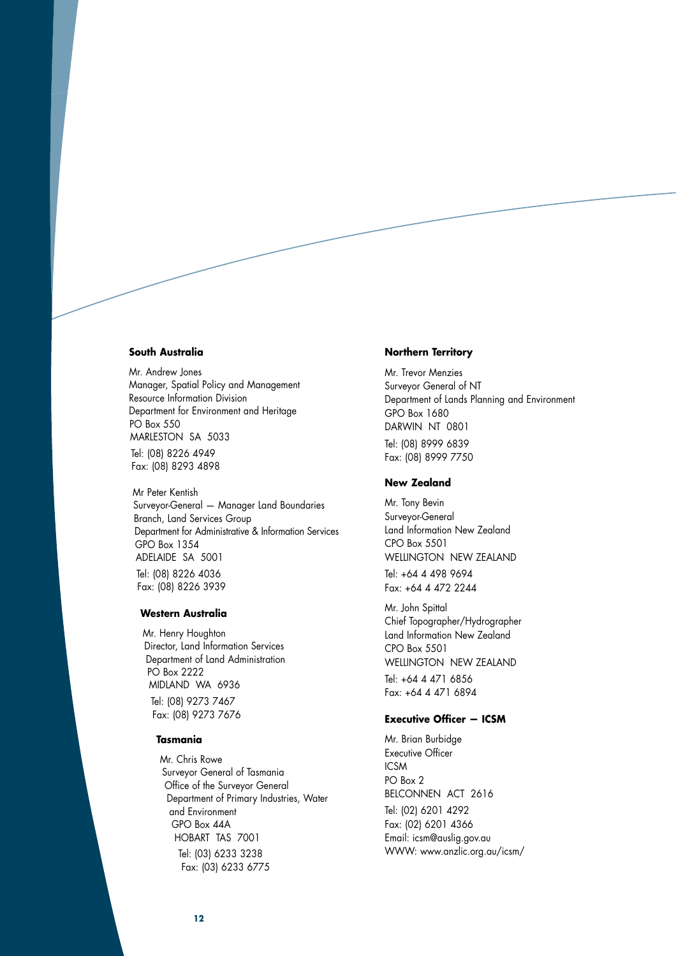#### **South Australia**

Mr. Andrew Jones Manager, Spatial Policy and Management Resource Information Division Department for Environment and Heritage PO Box 550 MARLESTON SA 5033

Tel: (08) 8226 4949 Fax: (08) 8293 4898

Mr Peter Kentish Surveyor-General — Manager Land Boundaries Branch, Land Services Group Department for Administrative & Information Services GPO Box 1354 ADELAIDE SA 5001 Tel: (08) 8226 4036 Fax: (08) 8226 3939

#### **Western Australia**

Mr. Henry Houghton Director, Land Information Services Department of Land Administration PO Box 2222 MIDLAND WA 6936 Tel: (08) 9273 7467

Fax: (08) 9273 7676

## **Tasmania**

Mr. Chris Rowe Surveyor General of Tasmania Office of the Surveyor General Department of Primary Industries, Water and Environment GPO Box 44A HOBART TAS 7001 Tel: (03) 6233 3238 Fax: (03) 6233 6775

#### **Northern Territory**

Mr. Trevor Menzies Surveyor General of NT Department of Lands Planning and Environment GPO Box 1680 DARWIN NT 0801 Tel: (08) 8999 6839 Fax: (08) 8999 7750

## **New Zealand**

Mr. Tony Bevin Surveyor-General Land Information New Zealand CPO Box 5501 WELLINGTON NEW ZEALAND

Tel: +64 4 498 9694 Fax: +64 4 472 2244

Mr. John Spittal Chief Topographer/Hydrographer Land Information New Zealand CPO Box 5501 WELLINGTON NEW ZEALAND

Tel: +64 4 471 6856 Fax: +64 4 471 6894

## **Executive Officer — ICSM**

Mr. Brian Burbidge Executive Officer **ICSM** PO Box 2 BELCONNEN ACT 2616 Tel: (02) 6201 4292 Fax: (02) 6201 4366 Email: icsm@auslig.gov.au WWW: www.anzlic.org.au/icsm/